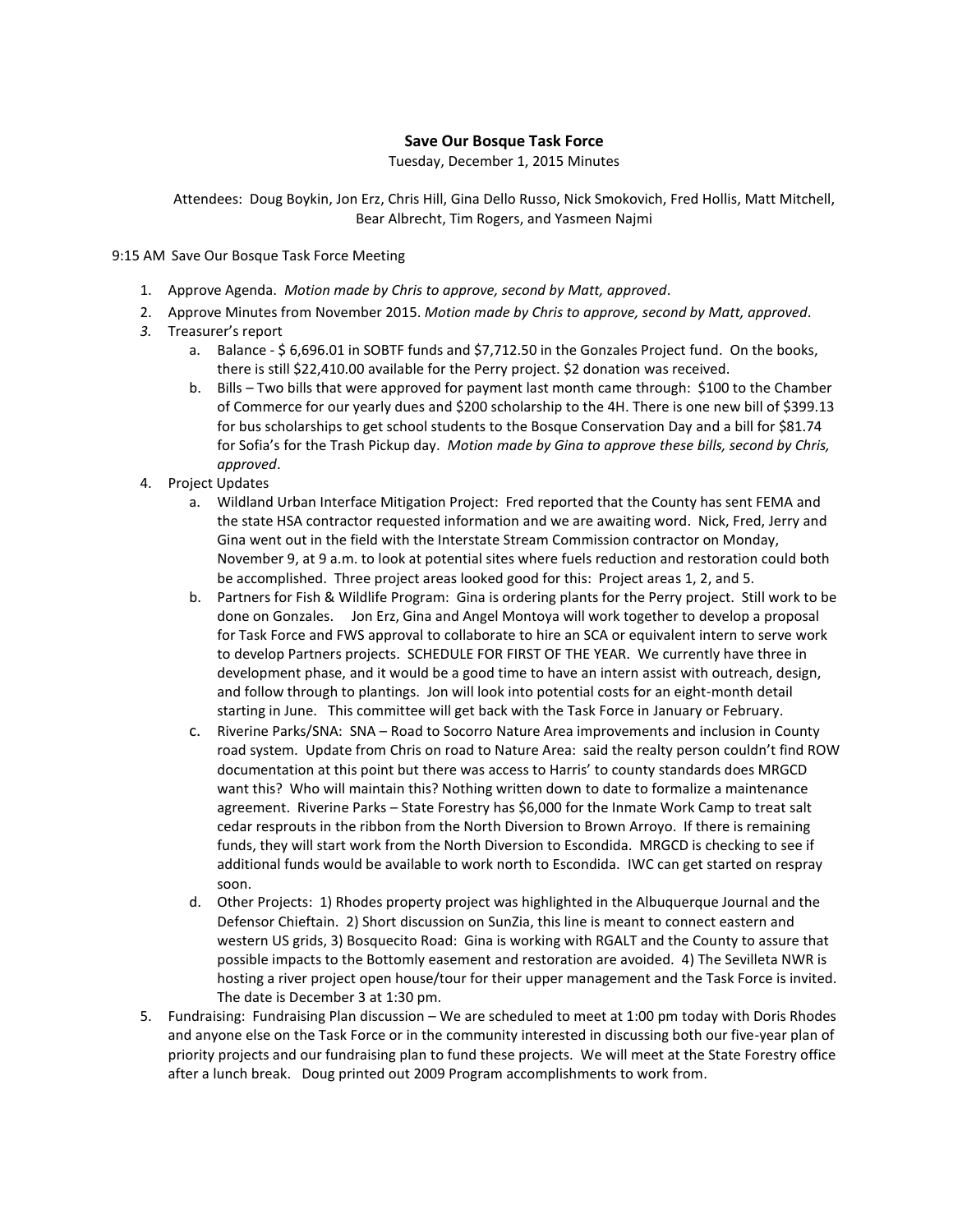## **Save Our Bosque Task Force**

Tuesday, December 1, 2015 Minutes

Attendees: Doug Boykin, Jon Erz, Chris Hill, Gina Dello Russo, Nick Smokovich, Fred Hollis, Matt Mitchell, Bear Albrecht, Tim Rogers, and Yasmeen Najmi

9:15 AM Save Our Bosque Task Force Meeting

- 1. Approve Agenda. *Motion made by Chris to approve, second by Matt, approved*.
- 2. Approve Minutes from November 2015. *Motion made by Chris to approve, second by Matt, approved*.
- *3.* Treasurer's report
	- a. Balance \$ 6,696.01 in SOBTF funds and \$7,712.50 in the Gonzales Project fund. On the books, there is still \$22,410.00 available for the Perry project. \$2 donation was received.
	- b. Bills Two bills that were approved for payment last month came through: \$100 to the Chamber of Commerce for our yearly dues and \$200 scholarship to the 4H. There is one new bill of \$399.13 for bus scholarships to get school students to the Bosque Conservation Day and a bill for \$81.74 for Sofia's for the Trash Pickup day. *Motion made by Gina to approve these bills, second by Chris, approved*.
- 4. Project Updates
	- a. Wildland Urban Interface Mitigation Project: Fred reported that the County has sent FEMA and the state HSA contractor requested information and we are awaiting word. Nick, Fred, Jerry and Gina went out in the field with the Interstate Stream Commission contractor on Monday, November 9, at 9 a.m. to look at potential sites where fuels reduction and restoration could both be accomplished. Three project areas looked good for this: Project areas 1, 2, and 5.
	- b. Partners for Fish & Wildlife Program: Gina is ordering plants for the Perry project. Still work to be done on Gonzales. Jon Erz, Gina and Angel Montoya will work together to develop a proposal for Task Force and FWS approval to collaborate to hire an SCA or equivalent intern to serve work to develop Partners projects. SCHEDULE FOR FIRST OF THE YEAR. We currently have three in development phase, and it would be a good time to have an intern assist with outreach, design, and follow through to plantings. Jon will look into potential costs for an eight-month detail starting in June. This committee will get back with the Task Force in January or February.
	- c. Riverine Parks/SNA: SNA Road to Socorro Nature Area improvements and inclusion in County road system. Update from Chris on road to Nature Area: said the realty person couldn't find ROW documentation at this point but there was access to Harris' to county standards does MRGCD want this? Who will maintain this? Nothing written down to date to formalize a maintenance agreement. Riverine Parks – State Forestry has \$6,000 for the Inmate Work Camp to treat salt cedar resprouts in the ribbon from the North Diversion to Brown Arroyo. If there is remaining funds, they will start work from the North Diversion to Escondida. MRGCD is checking to see if additional funds would be available to work north to Escondida. IWC can get started on respray soon.
	- d. Other Projects: 1) Rhodes property project was highlighted in the Albuquerque Journal and the Defensor Chieftain. 2) Short discussion on SunZia, this line is meant to connect eastern and western US grids, 3) Bosquecito Road: Gina is working with RGALT and the County to assure that possible impacts to the Bottomly easement and restoration are avoided. 4) The Sevilleta NWR is hosting a river project open house/tour for their upper management and the Task Force is invited. The date is December 3 at 1:30 pm.
- 5. Fundraising: Fundraising Plan discussion We are scheduled to meet at 1:00 pm today with Doris Rhodes and anyone else on the Task Force or in the community interested in discussing both our five-year plan of priority projects and our fundraising plan to fund these projects. We will meet at the State Forestry office after a lunch break. Doug printed out 2009 Program accomplishments to work from.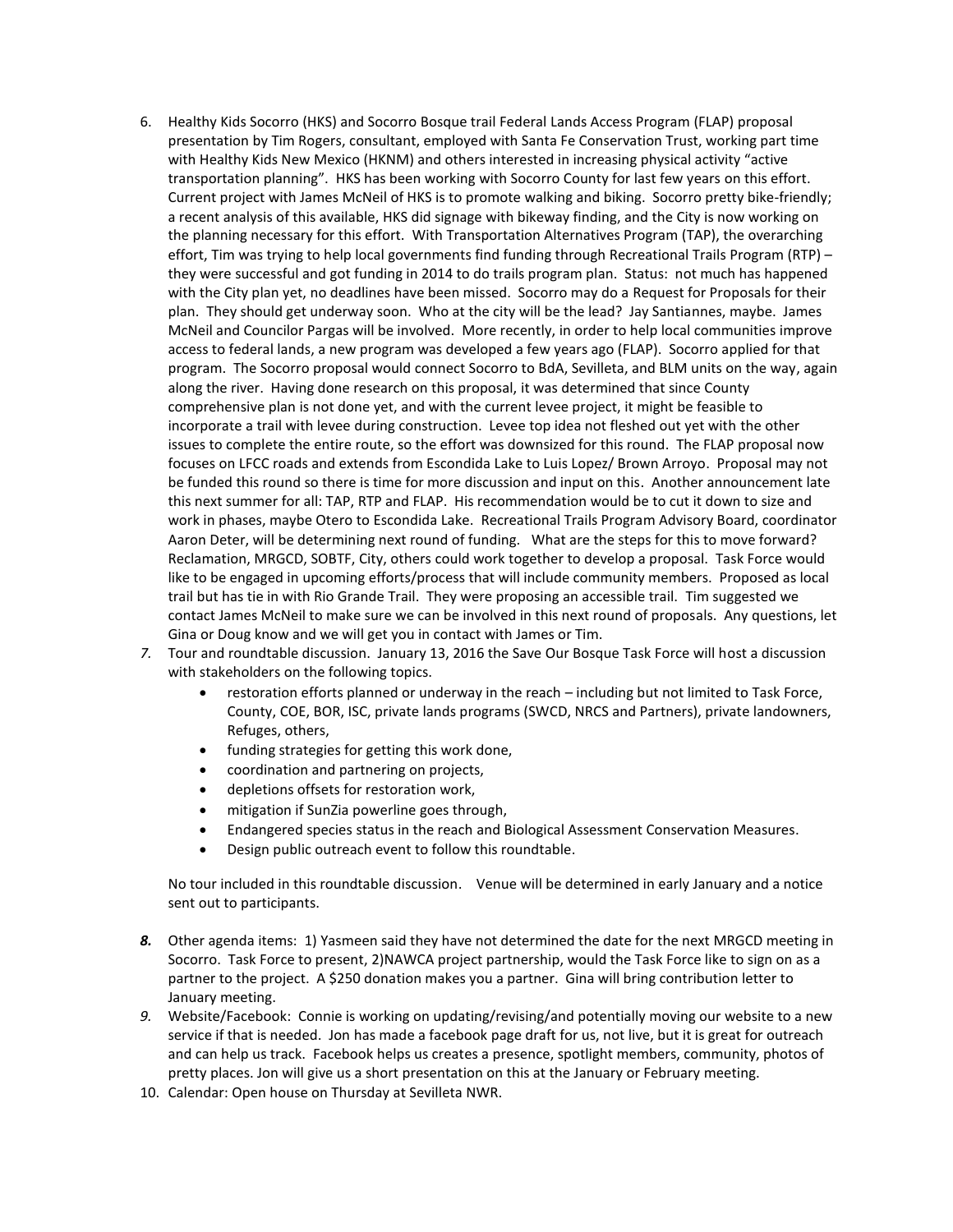- 6. Healthy Kids Socorro (HKS) and Socorro Bosque trail Federal Lands Access Program (FLAP) proposal presentation by Tim Rogers, consultant, employed with Santa Fe Conservation Trust, working part time with Healthy Kids New Mexico (HKNM) and others interested in increasing physical activity "active transportation planning". HKS has been working with Socorro County for last few years on this effort. Current project with James McNeil of HKS is to promote walking and biking. Socorro pretty bike-friendly; a recent analysis of this available, HKS did signage with bikeway finding, and the City is now working on the planning necessary for this effort. With Transportation Alternatives Program (TAP), the overarching effort, Tim was trying to help local governments find funding through Recreational Trails Program (RTP) – they were successful and got funding in 2014 to do trails program plan. Status: not much has happened with the City plan yet, no deadlines have been missed. Socorro may do a Request for Proposals for their plan. They should get underway soon. Who at the city will be the lead? Jay Santiannes, maybe. James McNeil and Councilor Pargas will be involved. More recently, in order to help local communities improve access to federal lands, a new program was developed a few years ago (FLAP). Socorro applied for that program. The Socorro proposal would connect Socorro to BdA, Sevilleta, and BLM units on the way, again along the river. Having done research on this proposal, it was determined that since County comprehensive plan is not done yet, and with the current levee project, it might be feasible to incorporate a trail with levee during construction. Levee top idea not fleshed out yet with the other issues to complete the entire route, so the effort was downsized for this round. The FLAP proposal now focuses on LFCC roads and extends from Escondida Lake to Luis Lopez/ Brown Arroyo. Proposal may not be funded this round so there is time for more discussion and input on this. Another announcement late this next summer for all: TAP, RTP and FLAP. His recommendation would be to cut it down to size and work in phases, maybe Otero to Escondida Lake. Recreational Trails Program Advisory Board, coordinator Aaron Deter, will be determining next round of funding. What are the steps for this to move forward? Reclamation, MRGCD, SOBTF, City, others could work together to develop a proposal. Task Force would like to be engaged in upcoming efforts/process that will include community members. Proposed as local trail but has tie in with Rio Grande Trail. They were proposing an accessible trail. Tim suggested we contact James McNeil to make sure we can be involved in this next round of proposals. Any questions, let Gina or Doug know and we will get you in contact with James or Tim.
- *7.* Tour and roundtable discussion. January 13, 2016 the Save Our Bosque Task Force will host a discussion with stakeholders on the following topics.
	- restoration efforts planned or underway in the reach including but not limited to Task Force, County, COE, BOR, ISC, private lands programs (SWCD, NRCS and Partners), private landowners, Refuges, others,
	- funding strategies for getting this work done,
	- coordination and partnering on projects,
	- depletions offsets for restoration work,
	- mitigation if SunZia powerline goes through,
	- Endangered species status in the reach and Biological Assessment Conservation Measures.
	- Design public outreach event to follow this roundtable.

No tour included in this roundtable discussion. Venue will be determined in early January and a notice sent out to participants.

- *8.* Other agenda items: 1) Yasmeen said they have not determined the date for the next MRGCD meeting in Socorro. Task Force to present, 2)NAWCA project partnership, would the Task Force like to sign on as a partner to the project. A \$250 donation makes you a partner. Gina will bring contribution letter to January meeting.
- *9.* Website/Facebook: Connie is working on updating/revising/and potentially moving our website to a new service if that is needed. Jon has made a facebook page draft for us, not live, but it is great for outreach and can help us track. Facebook helps us creates a presence, spotlight members, community, photos of pretty places. Jon will give us a short presentation on this at the January or February meeting.
- 10. Calendar: Open house on Thursday at Sevilleta NWR.